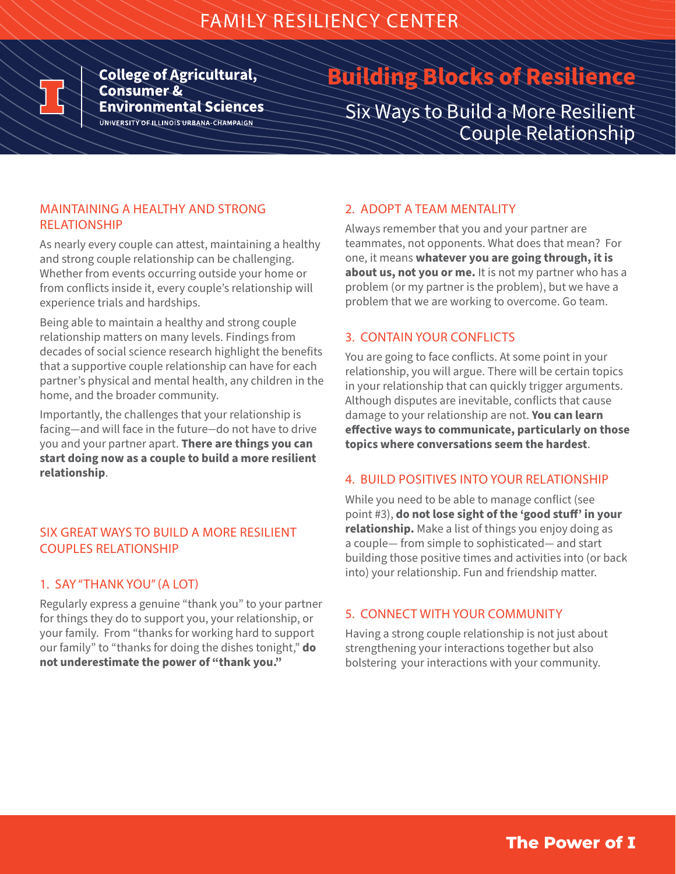

**College of Agricultural, Consumer & Environmental Sciences** UNIVERSITY OF ILLINOIS URBANA-CHAMPAIGN

# **Building Blocks of Resilience**

Six Ways to Build a More Resilient Couple Relationship

### MAINTAINING A HEALTHY AND STRONG RELATIONSHIP

As nearly every couple can attest, maintaining a healthy and strong couple relationship can be challenging. Whether from events occurring outside your home or from conflicts inside it, every couple's relationship will experience trials and hardships.

Being able to maintain a healthy and strong couple relationship matters on many levels. Findings from decades of social science research highlight the benefits that a supportive couple relationship can have for each partner's physical and mental health, any children in the home, and the broader community.

Importantly, the challenges that your relationship is facing—and will face in the future—do not have to drive you and your partner apart. **There are things you can start doing now as a couple to build a more resilient relationship**.

#### SIX GREAT WAYS TO BUILD A MORE RESILIENT COUPLES RELATIONSHIP

#### 1. SAY "THANK YOU" (A LOT)

Regularly express a genuine "thank you" to your partner for things they do to support you, your relationship, or your family. From "thanks for working hard to support our family" to "thanks for doing the dishes tonight," **do not underestimate the power of "thank you."**

## 2. ADOPT A TEAM MENTALITY

Always remember that you and your partner are teammates, not opponents. What does that mean? For one, it means **whatever you are going through, it is about us, not you or me.** It is not my partner who has a problem (or my partner is the problem), but we have a problem that we are working to overcome. Go team.

#### 3. CONTAIN YOUR CONFLICTS

You are going to face conflicts. At some point in your relationship, you will argue. There will be certain topics in your relationship that can quickly trigger arguments. Although disputes are inevitable, conflicts that cause damage to your relationship are not. **You can learn effective ways to communicate, particularly on those topics where conversations seem the hardest**.

#### 4. BUILD POSITIVES INTO YOUR RELATIONSHIP

While you need to be able to manage conflict (see point #3), **do not lose sight of the 'good stuff' in your relationship.** Make a list of things you enjoy doing as a couple— from simple to sophisticated— and start building those positive times and activities into (or back into) your relationship. Fun and friendship matter.

#### 5. CONNECT WITH YOUR COMMUNITY

Having a strong couple relationship is not just about strengthening your interactions together but also bolstering your interactions with your community.